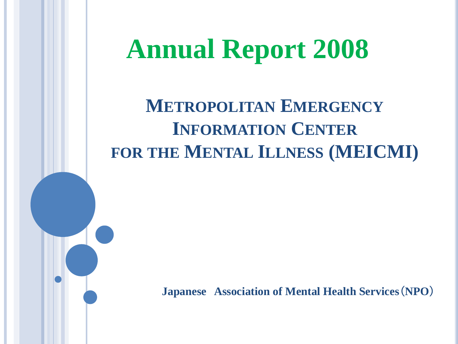# **Annual Report 2008**

**METROPOLITAN EMERGENCY INFORMATION CENTER FOR THE MENTAL ILLNESS (MEICMI)**

**Japanese Association of Mental Health Services**(**NPO**)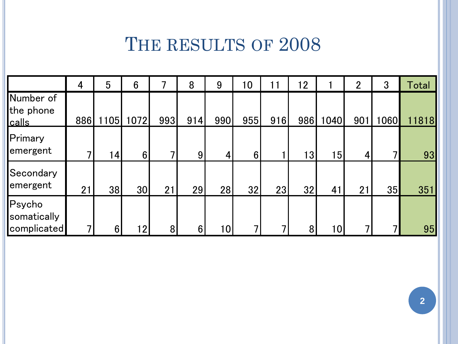#### THE RESULTS OF 2008

|                                      | 4   | 5               | 6               | 乛   | 8              | 9   | 10             | 11                      | 12  |      | $\overline{2}$ | 3    | Total |
|--------------------------------------|-----|-----------------|-----------------|-----|----------------|-----|----------------|-------------------------|-----|------|----------------|------|-------|
| Number of<br>the phone<br>calls      | 886 | 1105            | 1072            | 993 | 914            | 990 | 955            | 916                     | 986 | 1040 | 901            | 1060 | 11818 |
| Primary<br>emergent                  | ┑   | 14 <sub>1</sub> | $6\phantom{1}$  | ⇁   | 9              | 4   | 6 <sup>1</sup> |                         | 13  | 15   | 4              | 7    | 93    |
| Secondary<br>emergent                | 21  | 38              | 30              | 21  | 29             | 28  | 32             | 23                      | 32  | 41   | 21             | 35   | 351   |
| Psycho<br>somatically<br>complicated | 7   | 6               | 12 <sub>1</sub> | 8   | $6\phantom{1}$ | 10  | ┑              | $\overline{\mathbf{z}}$ | 8   | 10I  |                | 7    | 95    |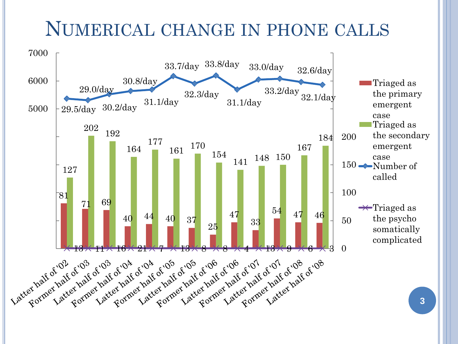#### NUMERICAL CHANGE IN PHONE CALLS

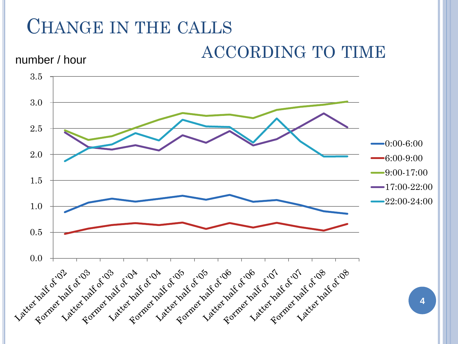## CHANGE IN THE CALLS

ACCORDING TO TIME

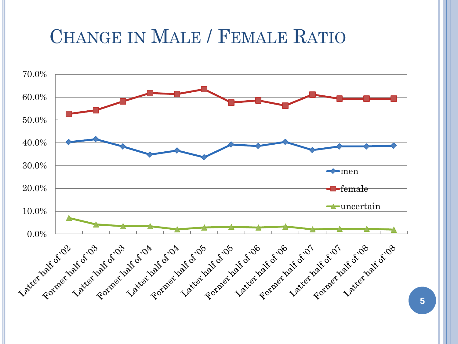#### CHANGE IN MALE / FEMALE RATIO



**5**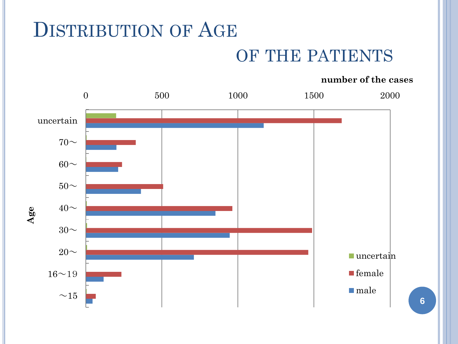#### DISTRIBUTION OF AGE

#### OF THE PATIENTS

#### **number of the cases**



**6**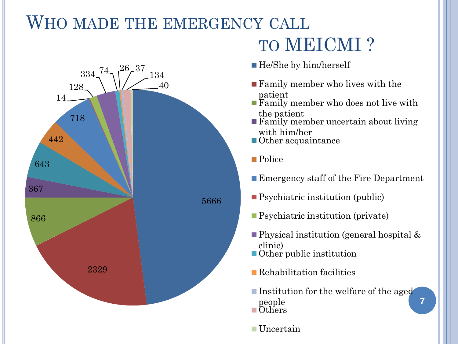#### WHO MADE THE EMERGENCY CALL



## TO MEICMI ?

- He/She by him/herself
- Family member who lives with the patient
- Family member who does not live with the patient
- **Family member uncertain about living** with him/her
- Other acquaintance
- Police
- Emergency staff of the Fire Department
- Psychiatric institution (public)
- Psychiatric institution (private)
- Physical institution (general hospital & clinic)
- **Other** public institution
- **Rehabilitation facilities**
- Institution for the welfare of the aged people **Others**

**7**

**■Uncertain**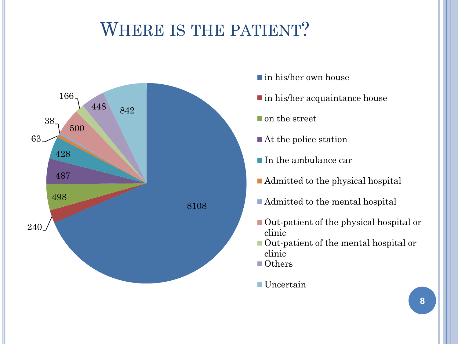#### WHERE IS THE PATIENT?



- in his/her own house
- in his/her acquaintance house
- on the street
- ■At the police station
- In the ambulance car
- Admitted to the physical hospital
- Admitted to the mental hospital
- Out-patient of the physical hospital or clinic
- Out-patient of the mental hospital or clinic
- Others
- ■Uncertain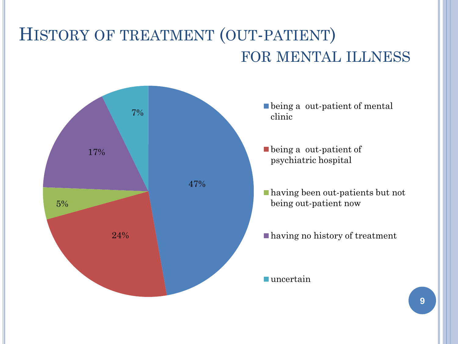#### HISTORY OF TREATMENT (OUT-PATIENT) FOR MENTAL ILLNESS

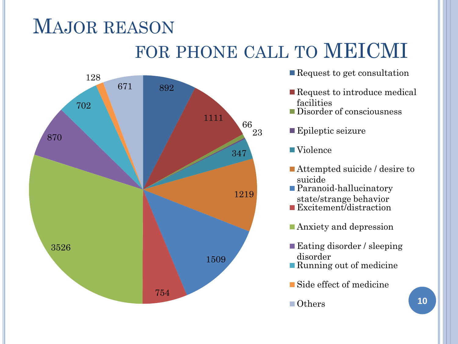## MAJOR REASON FOR PHONE CALL TO MEICMI



- Request to get consultation
- Request to introduce medical facilities
- Disorder of consciousness
- **Epileptic seizure**
- Violence
- Attempted suicide / desire to suicide
- Paranoid-hallucinatory state/strange behavior Excitement/distraction
- **Anxiety and depression**
- Eating disorder / sleeping disorder
- Running out of medicine
- Side effect of medicine
- Others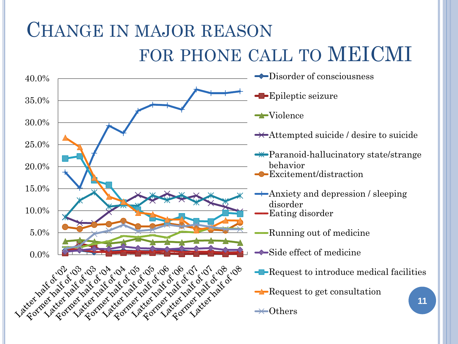## CHANGE IN MAJOR REASON FOR PHONE CALL TO MEICMI

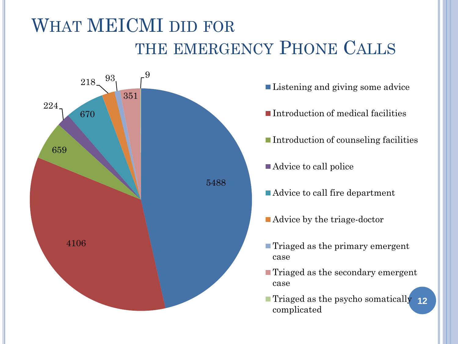### WHAT MEICMI DID FOR THE EMERGENCY PHONE CALLS



- Listening and giving some advice
- Introduction of medical facilities
- Introduction of counseling facilities
- Advice to call police
- Advice to call fire department
- Advice by the triage-doctor
- Triaged as the primary emergent case
- Triaged as the secondary emergent case
- Triaged as the psycho somatically **12**complicated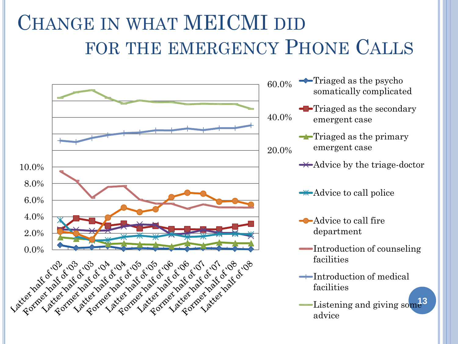## CHANGE IN WHAT MEICMI DID FOR THE EMERGENCY PHONE CALLS



- $\longrightarrow$ Triaged as the psycho somatically complicated
- **-**Triaged as the secondary emergent case
	- $\rightarrow$ Triaged as the primary emergent case
	- $\rightarrow$  Advice by the triage-doctor
	- $\rightarrow$  Advice to call police
	- Advice to call fire department
	- Introduction of counseling facilities
	- $\rightarrow$ Introduction of medical facilities
	- Listening and giving som<sup>13</sup> advice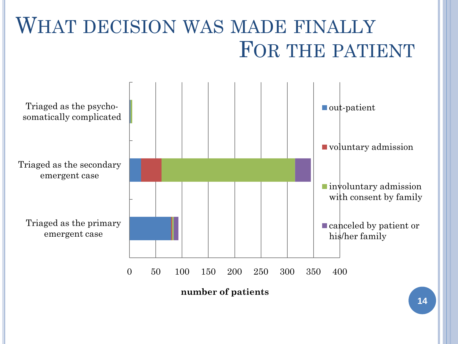

**14**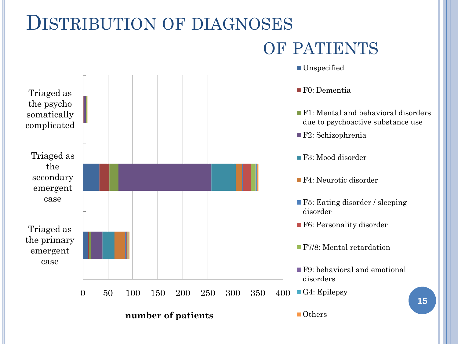#### DISTRIBUTION OF DIAGNOSES

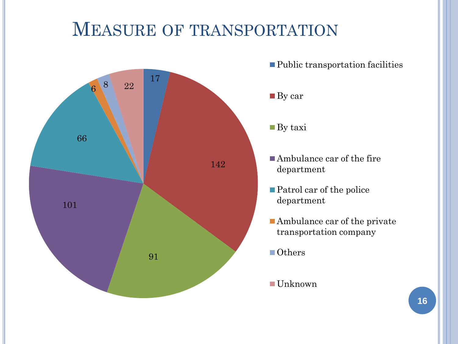#### MEASURE OF TRANSPORTATION



■ Public transportation facilities

#### ■ By car

- By taxi
- Ambulance car of the fire department
- Patrol car of the police department
- Ambulance car of the private transportation company
- Others
- Unknown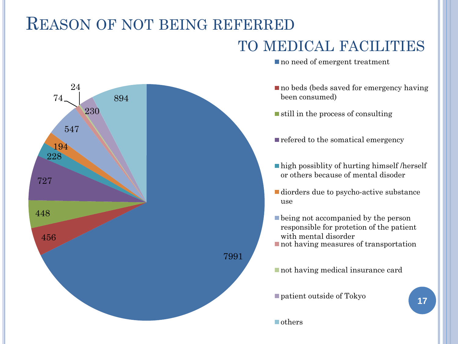#### REASON OF NOT BEING REFERRED

#### TO MEDICAL FACILITIES

7991 456 448 727 228 194 547 74 24 230 894

no need of emergent treatment

- no beds (beds saved for emergency having been consumed)
- $\blacksquare$  still in the process of consulting
- refered to the somatical emergency
- ■high possiblity of hurting himself /herself or others because of mental disoder
- diorders due to psycho-active substance use
- **being not accompanied by the person** responsible for protetion of the patient with mental disorder
- not having measures of transportation

not having medical insurance card

■ patient outside of Tokyo